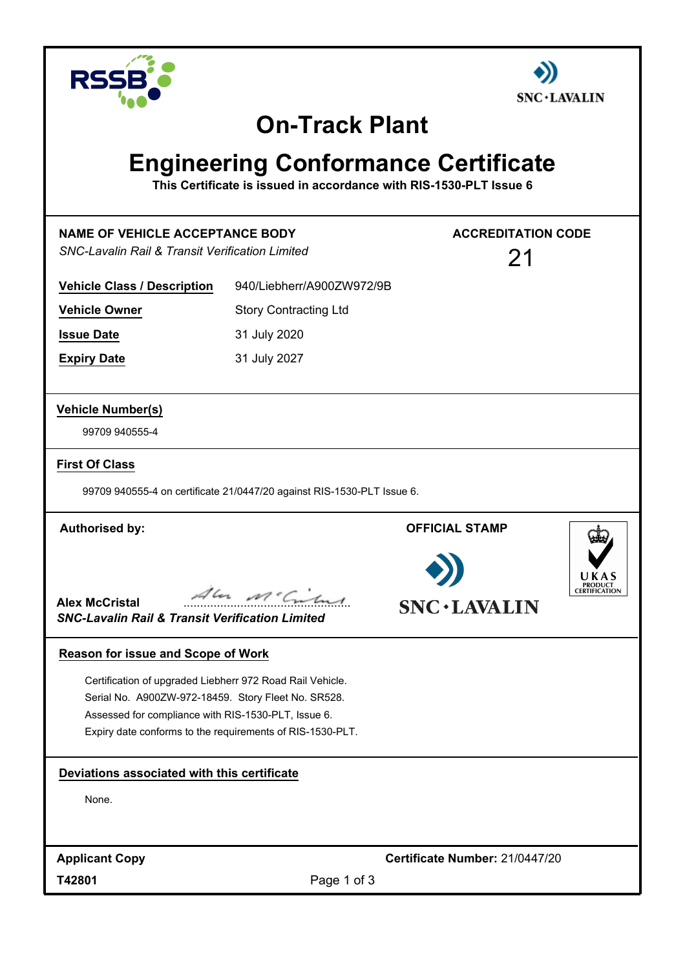



### **On-Track Plant**

# **Engineering Conformance Certificate**

**This Certificate is issued in accordance with RIS-1530-PLT Issue 6**

| <b>NAME OF VEHICLE ACCEPTANCE BODY</b><br><b>SNC-Lavalin Rail &amp; Transit Verification Limited</b>                                                                                                                                 |                                                                        | <b>ACCREDITATION CODE</b><br>21 |         |
|--------------------------------------------------------------------------------------------------------------------------------------------------------------------------------------------------------------------------------------|------------------------------------------------------------------------|---------------------------------|---------|
| <b>Vehicle Class / Description</b>                                                                                                                                                                                                   | 940/Liebherr/A900ZW972/9B                                              |                                 |         |
| <b>Vehicle Owner</b>                                                                                                                                                                                                                 | <b>Story Contracting Ltd</b>                                           |                                 |         |
| <b>Issue Date</b>                                                                                                                                                                                                                    | 31 July 2020                                                           |                                 |         |
| <b>Expiry Date</b>                                                                                                                                                                                                                   | 31 July 2027                                                           |                                 |         |
| <b>Vehicle Number(s)</b>                                                                                                                                                                                                             |                                                                        |                                 |         |
| 99709 940555-4                                                                                                                                                                                                                       |                                                                        |                                 |         |
| <b>First Of Class</b>                                                                                                                                                                                                                |                                                                        |                                 |         |
|                                                                                                                                                                                                                                      | 99709 940555-4 on certificate 21/0447/20 against RIS-1530-PLT Issue 6. |                                 |         |
| <b>Authorised by:</b>                                                                                                                                                                                                                |                                                                        | <b>OFFICIAL STAMP</b>           |         |
| <b>Alex McCristal</b><br><b>SNC-Lavalin Rail &amp; Transit Verification Limited</b>                                                                                                                                                  | Aler Mc Criter                                                         | <b>SNC · LAVALIN</b>            | PRODUCT |
| Reason for issue and Scope of Work                                                                                                                                                                                                   |                                                                        |                                 |         |
| Certification of upgraded Liebherr 972 Road Rail Vehicle.<br>Serial No. A900ZW-972-18459. Story Fleet No. SR528.<br>Assessed for compliance with RIS-1530-PLT, Issue 6.<br>Expiry date conforms to the requirements of RIS-1530-PLT. |                                                                        |                                 |         |
| Deviations associated with this certificate                                                                                                                                                                                          |                                                                        |                                 |         |
| None.                                                                                                                                                                                                                                |                                                                        |                                 |         |
|                                                                                                                                                                                                                                      |                                                                        |                                 |         |
| <b>Applicant Copy</b>                                                                                                                                                                                                                |                                                                        | Certificate Number: 21/0447/20  |         |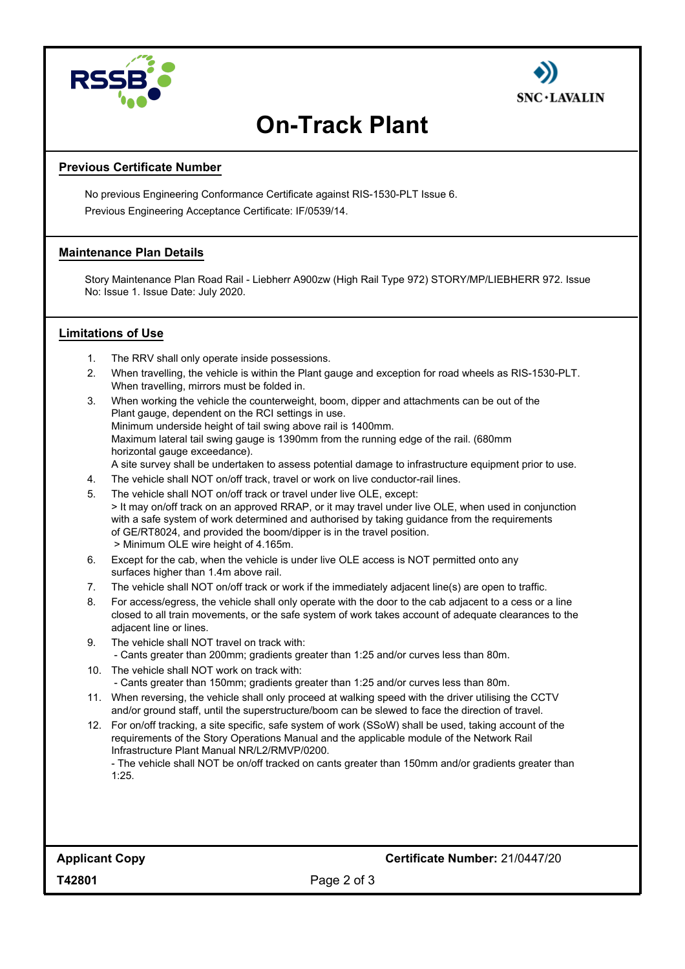



## **On-Track Plant**

#### **Previous Certificate Number**

No previous Engineering Conformance Certificate against RIS-1530-PLT Issue 6. Previous Engineering Acceptance Certificate: IF/0539/14.

#### **Maintenance Plan Details**

Story Maintenance Plan Road Rail - Liebherr A900zw (High Rail Type 972) STORY/MP/LIEBHERR 972. Issue No: Issue 1. Issue Date: July 2020.

#### **Limitations of Use**

- 1. The RRV shall only operate inside possessions.
- 2. When travelling, the vehicle is within the Plant gauge and exception for road wheels as RIS-1530-PLT. When travelling, mirrors must be folded in.
- 3. When working the vehicle the counterweight, boom, dipper and attachments can be out of the Plant gauge, dependent on the RCI settings in use. Minimum underside height of tail swing above rail is 1400mm. Maximum lateral tail swing gauge is 1390mm from the running edge of the rail. (680mm horizontal gauge exceedance). A site survey shall be undertaken to assess potential damage to infrastructure equipment prior to use.
- 4. The vehicle shall NOT on/off track, travel or work on live conductor-rail lines.
- 5. The vehicle shall NOT on/off track or travel under live OLE, except: > It may on/off track on an approved RRAP, or it may travel under live OLE, when used in conjunction with a safe system of work determined and authorised by taking guidance from the requirements of GE/RT8024, and provided the boom/dipper is in the travel position. > Minimum OLE wire height of 4.165m.
- 6. Except for the cab, when the vehicle is under live OLE access is NOT permitted onto any surfaces higher than 1.4m above rail.
- 7. The vehicle shall NOT on/off track or work if the immediately adjacent line(s) are open to traffic.
- 8. For access/egress, the vehicle shall only operate with the door to the cab adjacent to a cess or a line closed to all train movements, or the safe system of work takes account of adequate clearances to the adjacent line or lines.
- 9. The vehicle shall NOT travel on track with: - Cants greater than 200mm; gradients greater than 1:25 and/or curves less than 80m.
- 10. The vehicle shall NOT work on track with: - Cants greater than 150mm; gradients greater than 1:25 and/or curves less than 80m.
- 11. When reversing, the vehicle shall only proceed at walking speed with the driver utilising the CCTV and/or ground staff, until the superstructure/boom can be slewed to face the direction of travel.
- 12. For on/off tracking, a site specific, safe system of work (SSoW) shall be used, taking account of the requirements of the Story Operations Manual and the applicable module of the Network Rail Infrastructure Plant Manual NR/L2/RMVP/0200.

- The vehicle shall NOT be on/off tracked on cants greater than 150mm and/or gradients greater than 1:25.

Page 2 of 3

**T42801**

**Applicant Copy Certificate Number:** 21/0447/20